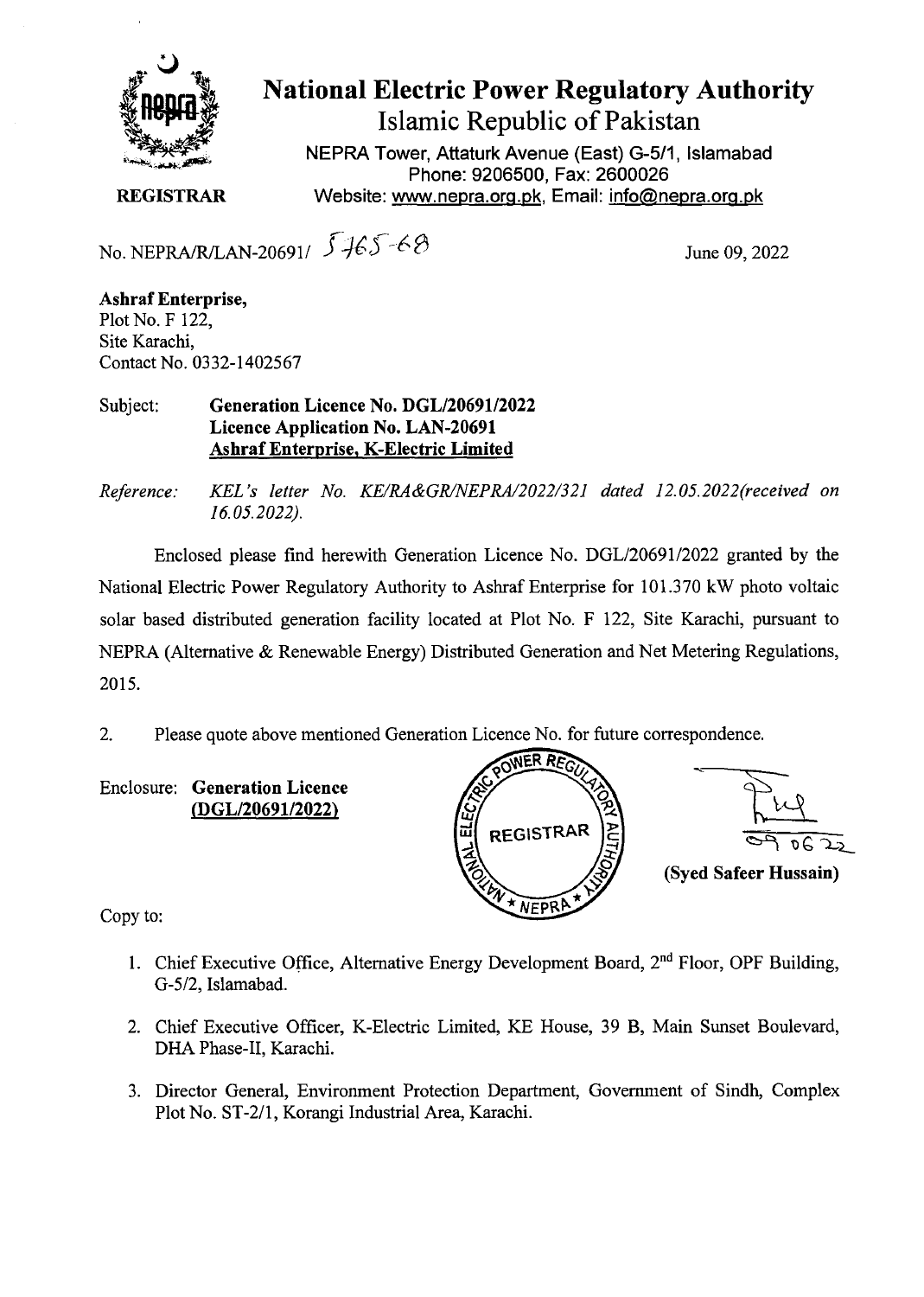

**National Electric Power Regulatory Authority Islamic Republic of Pakistan** 

**NEPRA Tower, Attaturk Avenue (East)** G-511, **Islamabad Phone: 9206500, Fax: 2600026 REGISTRAR** Website: www.nepra.org.pk, Email: info@nepra.org.pk

No. NEPRA/R/LAN-20691/  $\sqrt[3]{165-68}$  June 09, 2022

**Ashraf Enterprise,**  Plot No. F 122, Site Karachi, Contact No. 0332-1402567

Subject: **Generation Licence No. DGL/20691/2022 Licence Application No. LAN-20691 Ashraf Enterprise, K-Electric Limited** 

*Reference: ICEL 's letter No. KE/RA&GR/NEPRA/2022/321 dated 12. 05.2022(received on 16.05.2022).* 

Enclosed please find herewith Generation Licence No. DGL/20691/2022 granted by the National Electric Power Regulatory Authority to Ashraf Enterprise for 101.370 kW photo voltaic solar based distributed generation facility located at Plot No. F 122, Site Karachi, pursuant to NEPRA (Alternative & Renewable Energy) Distributed Generation and Net Metering Regulations, 2015.

2. Please quote above mentioned Generation Licence No. for future correspondence.

Enclosure: **Generation Licence**  *IDGL/2069112022)* 



Copy to:

- 1. Chief Executive Office, Alternative Energy Development Board, 2<sup>nd</sup> Floor, OPF Building, G-5/2, Islamabad.
- 2. Chief Executive Officer, K-Electric Limited, KE House, 39 B, Main Sunset Boulevard, DHA Phase-II, Karachi.
- 3. Director General, Environment Protection Department, Government of Sindh, Complex Plot No. ST-2/1, Korangi Industrial Area, Karachi.